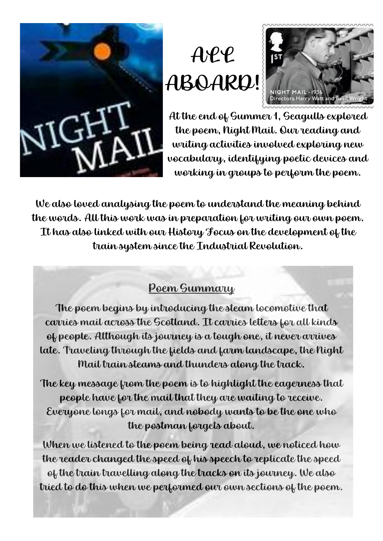

## ALL ABOARD!



At the end of Summer 1, Seagulls explored the poem, Night Mail. Our reading and writing activities involved exploring new vocabulary, identifying poetic devices and working in groups to perform the poem.

We also loved analysing the poem to understand the meaning behind the words. All this work was in preparation for writing our own poem. It has also linked with our History Focus on the development of the train system since the Industrial Revolution.

## Poem Summary

The poem begins by introducing the steam locomotive that carries mail across the Scotland. It carries letters for all kinds of people. Although its journey is a tough one, it never arrives late. Traveling through the fields and farm landscape, the Night Mail train steams and thunders along the track.

The key message from the poem is to highlight the eagerness that people have for the mail that they are waiting to receive. Everyone longs for mail, and nobody wants to be the one who the postman forgets about.

When we listened to the poem being read aloud, we noticed how the reader changed the speed of his speech to replicate the speed of the train travelling along the tracks on its journey. We also tried to do this when we performed our own sections of the poem.